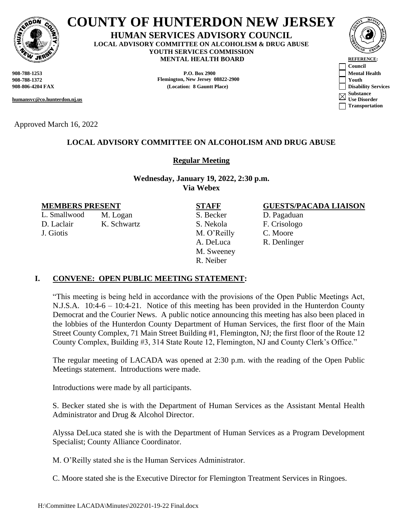

# **COUNTY OF HUNTERDON NEW JERSEY**

#### **HUMAN SERVICES ADVISORY COUNCIL LOCAL ADVISORY COMMITTEE ON ALCOHOLISM & DRUG ABUSE YOUTH SERVICES COMMISSION MENTAL HEALTH BOARD REFERENCE:**

**908-788-1372 Flemington, New Jersey 08822-2900 Youth**

**humansvc@co.hunterdon.nj.us**

Approved March 16, 2022

# **LOCAL ADVISORY COMMITTEE ON ALCOHOLISM AND DRUG ABUSE**

# **Regular Meeting**

**Wednesday, January 19, 2022, 2:30 p.m. Via Webex**

L. Smallwood M. Logan S. Becker D. Pagaduan D. Laclair K. Schwartz S. Nekola F. Crisologo J. Giotis M. O'Reilly C. Moore

A. DeLuca R. Denlinger M. Sweeney R. Neiber

## **MEMBERS PRESENT STAFF GUESTS/PACADA LIAISON**

# **I. CONVENE: OPEN PUBLIC MEETING STATEMENT:**

"This meeting is being held in accordance with the provisions of the Open Public Meetings Act, N.J.S.A. 10:4-6 – 10:4-21. Notice of this meeting has been provided in the Hunterdon County Democrat and the Courier News. A public notice announcing this meeting has also been placed in the lobbies of the Hunterdon County Department of Human Services, the first floor of the Main Street County Complex, 71 Main Street Building #1, Flemington, NJ; the first floor of the Route 12 County Complex, Building #3, 314 State Route 12, Flemington, NJ and County Clerk's Office."

The regular meeting of LACADA was opened at 2:30 p.m. with the reading of the Open Public Meetings statement. Introductions were made.

Introductions were made by all participants.

S. Becker stated she is with the Department of Human Services as the Assistant Mental Health Administrator and Drug & Alcohol Director.

Alyssa DeLuca stated she is with the Department of Human Services as a Program Development Specialist; County Alliance Coordinator.

M. O'Reilly stated she is the Human Services Administrator.

C. Moore stated she is the Executive Director for Flemington Treatment Services in Ringoes.

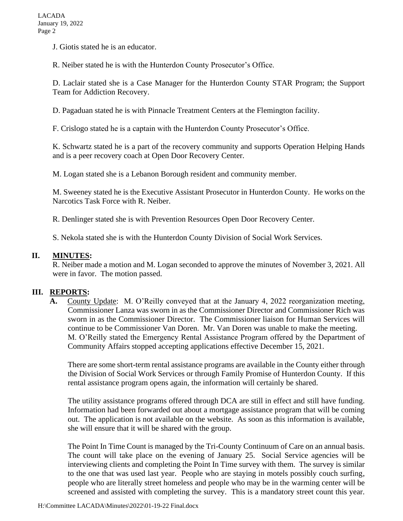J. Giotis stated he is an educator.

R. Neiber stated he is with the Hunterdon County Prosecutor's Office.

D. Laclair stated she is a Case Manager for the Hunterdon County STAR Program; the Support Team for Addiction Recovery.

D. Pagaduan stated he is with Pinnacle Treatment Centers at the Flemington facility.

F. Crislogo stated he is a captain with the Hunterdon County Prosecutor's Office.

K. Schwartz stated he is a part of the recovery community and supports Operation Helping Hands and is a peer recovery coach at Open Door Recovery Center.

M. Logan stated she is a Lebanon Borough resident and community member.

M. Sweeney stated he is the Executive Assistant Prosecutor in Hunterdon County. He works on the Narcotics Task Force with R. Neiber.

R. Denlinger stated she is with Prevention Resources Open Door Recovery Center.

S. Nekola stated she is with the Hunterdon County Division of Social Work Services.

## **II. MINUTES:**

R. Neiber made a motion and M. Logan seconded to approve the minutes of November 3, 2021. All were in favor. The motion passed.

### **III. REPORTS:**

**A.** County Update: M. O'Reilly conveyed that at the January 4, 2022 reorganization meeting, Commissioner Lanza was sworn in as the Commissioner Director and Commissioner Rich was sworn in as the Commissioner Director. The Commissioner liaison for Human Services will continue to be Commissioner Van Doren. Mr. Van Doren was unable to make the meeting. M. O'Reilly stated the Emergency Rental Assistance Program offered by the Department of Community Affairs stopped accepting applications effective December 15, 2021.

There are some short-term rental assistance programs are available in the County either through the Division of Social Work Services or through Family Promise of Hunterdon County. If this rental assistance program opens again, the information will certainly be shared.

The utility assistance programs offered through DCA are still in effect and still have funding. Information had been forwarded out about a mortgage assistance program that will be coming out. The application is not available on the website. As soon as this information is available, she will ensure that it will be shared with the group.

The Point In Time Count is managed by the Tri-County Continuum of Care on an annual basis. The count will take place on the evening of January 25. Social Service agencies will be interviewing clients and completing the Point In Time survey with them. The survey is similar to the one that was used last year. People who are staying in motels possibly couch surfing, people who are literally street homeless and people who may be in the warming center will be screened and assisted with completing the survey. This is a mandatory street count this year.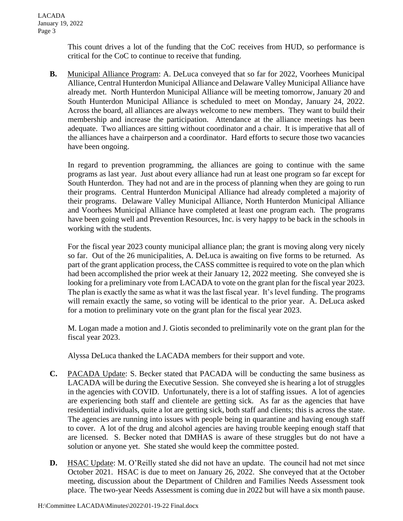This count drives a lot of the funding that the CoC receives from HUD, so performance is critical for the CoC to continue to receive that funding.

**B.** Municipal Alliance Program: A. DeLuca conveyed that so far for 2022, Voorhees Municipal Alliance, Central Hunterdon Municipal Alliance and Delaware Valley Municipal Alliance have already met. North Hunterdon Municipal Alliance will be meeting tomorrow, January 20 and South Hunterdon Municipal Alliance is scheduled to meet on Monday, January 24, 2022. Across the board, all alliances are always welcome to new members. They want to build their membership and increase the participation. Attendance at the alliance meetings has been adequate. Two alliances are sitting without coordinator and a chair. It is imperative that all of the alliances have a chairperson and a coordinator. Hard efforts to secure those two vacancies have been ongoing.

In regard to prevention programming, the alliances are going to continue with the same programs as last year. Just about every alliance had run at least one program so far except for South Hunterdon. They had not and are in the process of planning when they are going to run their programs. Central Hunterdon Municipal Alliance had already completed a majority of their programs. Delaware Valley Municipal Alliance, North Hunterdon Municipal Alliance and Voorhees Municipal Alliance have completed at least one program each. The programs have been going well and Prevention Resources, Inc. is very happy to be back in the schools in working with the students.

For the fiscal year 2023 county municipal alliance plan; the grant is moving along very nicely so far. Out of the 26 municipalities, A. DeLuca is awaiting on five forms to be returned. As part of the grant application process, the CASS committee is required to vote on the plan which had been accomplished the prior week at their January 12, 2022 meeting. She conveyed she is looking for a preliminary vote from LACADA to vote on the grant plan for the fiscal year 2023. The plan is exactly the same as what it was the last fiscal year. It's level funding. The programs will remain exactly the same, so voting will be identical to the prior year. A. DeLuca asked for a motion to preliminary vote on the grant plan for the fiscal year 2023.

M. Logan made a motion and J. Giotis seconded to preliminarily vote on the grant plan for the fiscal year 2023.

Alyssa DeLuca thanked the LACADA members for their support and vote.

- **C.** PACADA Update: S. Becker stated that PACADA will be conducting the same business as LACADA will be during the Executive Session. She conveyed she is hearing a lot of struggles in the agencies with COVID. Unfortunately, there is a lot of staffing issues. A lot of agencies are experiencing both staff and clientele are getting sick. As far as the agencies that have residential individuals, quite a lot are getting sick, both staff and clients; this is across the state. The agencies are running into issues with people being in quarantine and having enough staff to cover. A lot of the drug and alcohol agencies are having trouble keeping enough staff that are licensed. S. Becker noted that DMHAS is aware of these struggles but do not have a solution or anyone yet. She stated she would keep the committee posted.
- **D.** HSAC Update: M. O'Reilly stated she did not have an update. The council had not met since October 2021. HSAC is due to meet on January 26, 2022. She conveyed that at the October meeting, discussion about the Department of Children and Families Needs Assessment took place. The two-year Needs Assessment is coming due in 2022 but will have a six month pause.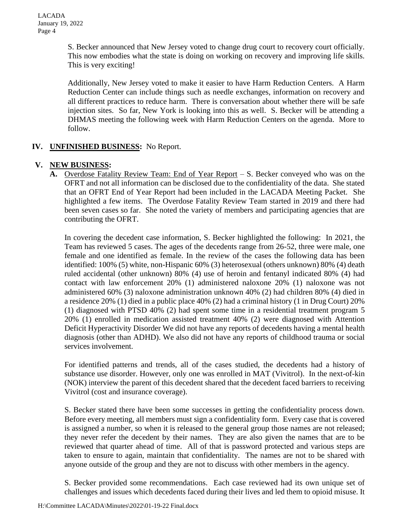S. Becker announced that New Jersey voted to change drug court to recovery court officially. This now embodies what the state is doing on working on recovery and improving life skills. This is very exciting!

Additionally, New Jersey voted to make it easier to have Harm Reduction Centers. A Harm Reduction Center can include things such as needle exchanges, information on recovery and all different practices to reduce harm. There is conversation about whether there will be safe injection sites. So far, New York is looking into this as well. S. Becker will be attending a DHMAS meeting the following week with Harm Reduction Centers on the agenda. More to follow.

# **IV. UNFINISHED BUSINESS:** No Report.

# **V. NEW BUSINESS:**

**A.** Overdose Fatality Review Team: End of Year Report – S. Becker conveyed who was on the OFRT and not all information can be disclosed due to the confidentiality of the data. She stated that an OFRT End of Year Report had been included in the LACADA Meeting Packet. She highlighted a few items. The Overdose Fatality Review Team started in 2019 and there had been seven cases so far. She noted the variety of members and participating agencies that are contributing the OFRT.

In covering the decedent case information, S. Becker highlighted the following: In 2021, the Team has reviewed 5 cases. The ages of the decedents range from 26-52, three were male, one female and one identified as female. In the review of the cases the following data has been identified: 100% (5) white, non-Hispanic 60% (3) heterosexual (others unknown) 80% (4) death ruled accidental (other unknown) 80% (4) use of heroin and fentanyl indicated 80% (4) had contact with law enforcement 20% (1) administered naloxone 20% (1) naloxone was not administered 60% (3) naloxone administration unknown 40% (2) had children 80% (4) died in a residence 20% (1) died in a public place 40% (2) had a criminal history (1 in Drug Court) 20% (1) diagnosed with PTSD 40% (2) had spent some time in a residential treatment program 5 20% (1) enrolled in medication assisted treatment 40% (2) were diagnosed with Attention Deficit Hyperactivity Disorder We did not have any reports of decedents having a mental health diagnosis (other than ADHD). We also did not have any reports of childhood trauma or social services involvement.

For identified patterns and trends, all of the cases studied, the decedents had a history of substance use disorder. However, only one was enrolled in MAT (Vivitrol). In the next-of-kin (NOK) interview the parent of this decedent shared that the decedent faced barriers to receiving Vivitrol (cost and insurance coverage).

S. Becker stated there have been some successes in getting the confidentiality process down. Before every meeting, all members must sign a confidentiality form. Every case that is covered is assigned a number, so when it is released to the general group those names are not released; they never refer the decedent by their names. They are also given the names that are to be reviewed that quarter ahead of time. All of that is password protected and various steps are taken to ensure to again, maintain that confidentiality. The names are not to be shared with anyone outside of the group and they are not to discuss with other members in the agency.

S. Becker provided some recommendations. Each case reviewed had its own unique set of challenges and issues which decedents faced during their lives and led them to opioid misuse. It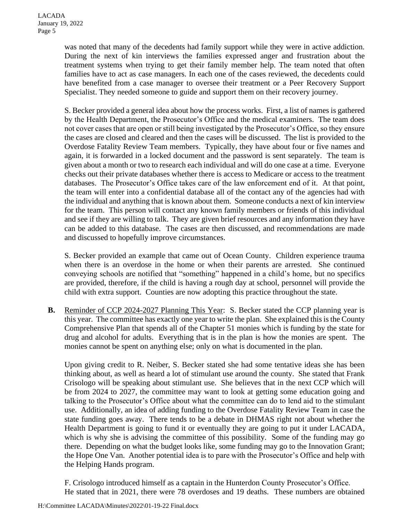was noted that many of the decedents had family support while they were in active addiction. During the next of kin interviews the families expressed anger and frustration about the treatment systems when trying to get their family member help. The team noted that often families have to act as case managers. In each one of the cases reviewed, the decedents could have benefited from a case manager to oversee their treatment or a Peer Recovery Support Specialist. They needed someone to guide and support them on their recovery journey.

S. Becker provided a general idea about how the process works. First, a list of names is gathered by the Health Department, the Prosecutor's Office and the medical examiners. The team does not cover cases that are open or still being investigated by the Prosecutor's Office, so they ensure the cases are closed and cleared and then the cases will be discussed. The list is provided to the Overdose Fatality Review Team members. Typically, they have about four or five names and again, it is forwarded in a locked document and the password is sent separately. The team is given about a month or two to research each individual and will do one case at a time. Everyone checks out their private databases whether there is access to Medicare or access to the treatment databases. The Prosecutor's Office takes care of the law enforcement end of it. At that point, the team will enter into a confidential database all of the contact any of the agencies had with the individual and anything that is known about them. Someone conducts a next of kin interview for the team. This person will contact any known family members or friends of this individual and see if they are willing to talk. They are given brief resources and any information they have can be added to this database. The cases are then discussed, and recommendations are made and discussed to hopefully improve circumstances.

S. Becker provided an example that came out of Ocean County. Children experience trauma when there is an overdose in the home or when their parents are arrested. She continued conveying schools are notified that "something" happened in a child's home, but no specifics are provided, therefore, if the child is having a rough day at school, personnel will provide the child with extra support. Counties are now adopting this practice throughout the state.

**B.** Reminder of CCP 2024-2027 Planning This Year: S. Becker stated the CCP planning year is this year. The committee has exactly one year to write the plan. She explained this is the County Comprehensive Plan that spends all of the Chapter 51 monies which is funding by the state for drug and alcohol for adults. Everything that is in the plan is how the monies are spent. The monies cannot be spent on anything else; only on what is documented in the plan.

Upon giving credit to R. Neiber, S. Becker stated she had some tentative ideas she has been thinking about, as well as heard a lot of stimulant use around the county. She stated that Frank Crisologo will be speaking about stimulant use. She believes that in the next CCP which will be from 2024 to 2027, the committee may want to look at getting some education going and talking to the Prosecutor's Office about what the committee can do to lend aid to the stimulant use. Additionally, an idea of adding funding to the Overdose Fatality Review Team in case the state funding goes away. There tends to be a debate in DHMAS right not about whether the Health Department is going to fund it or eventually they are going to put it under LACADA, which is why she is advising the committee of this possibility. Some of the funding may go there. Depending on what the budget looks like, some funding may go to the Innovation Grant; the Hope One Van. Another potential idea is to pare with the Prosecutor's Office and help with the Helping Hands program.

F. Crisologo introduced himself as a captain in the Hunterdon County Prosecutor's Office. He stated that in 2021, there were 78 overdoses and 19 deaths. These numbers are obtained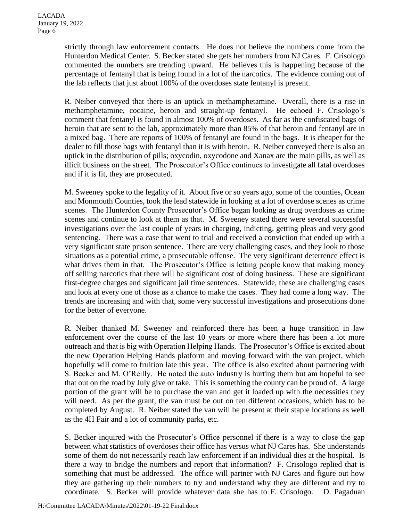strictly through law enforcement contacts. He does not believe the numbers come from the Hunterdon Medical Center. S. Becker stated she gets her numbers from NJ Cares. F. Crisologo commented the numbers are trending upward. He believes this is happening because of the percentage of fentanyl that is being found in a lot of the narcotics. The evidence coming out of the lab reflects that just about 100% of the overdoses state fentanyl is present.

R. Neiber conveyed that there is an uptick in methamphetamine. Overall, there is a rise in methamphetamine, cocaine, heroin and straight-up fentanyl. He echoed F. Crisologo's comment that fentanyl is found in almost 100% of overdoses. As far as the confiscated bags of heroin that are sent to the lab, approximately more than 85% of that heroin and fentanyl are in a mixed bag. There are reports of 100% of fentanyl are found in the bags. It is cheaper for the dealer to fill those bags with fentanyl than it is with heroin. R. Neiber conveyed there is also an uptick in the distribution of pills; oxycodin, oxycodone and Xanax are the main pills, as well as illicit business on the street. The Prosecutor's Office continues to investigate all fatal overdoses and if it is fit, they are prosecuted.

M. Sweeney spoke to the legality of it. About five or so years ago, some of the counties, Ocean and Monmouth Counties, took the lead statewide in looking at a lot of overdose scenes as crime scenes. The Hunterdon County Prosecutor's Office began looking as drug overdoses as crime scenes and continue to look at them as that. M. Sweeney stated there were several successful investigations over the last couple of years in charging, indicting, getting pleas and very good sentencing. There was a case that went to trial and received a conviction that ended up with a very significant state prison sentence. There are very challenging cases, and they look to those situations as a potential crime, a prosecutable offense. The very significant deterrence effect is what drives them in that. The Prosecutor's Office is letting people know that making money off selling narcotics that there will be significant cost of doing business. These are significant first-degree charges and significant jail time sentences. Statewide, these are challenging cases and look at every one of those as a chance to make the cases. They had come a long way. The trends are increasing and with that, some very successful investigations and prosecutions done for the better of everyone.

R. Neiber thanked M. Sweeney and reinforced there has been a huge transition in law enforcement over the course of the last 10 years or more where there has been a lot more outreach and that is big with Operation Helping Hands. The Prosecutor's Office is excited about the new Operation Helping Hands platform and moving forward with the van project, which hopefully will come to fruition late this year. The office is also excited about partnering with S. Becker and M. O'Reilly. He noted the auto industry is hurting them but am hopeful to see that out on the road by July give or take. This is something the county can be proud of. A large portion of the grant will be to purchase the van and get it loaded up with the necessities they will need. As per the grant, the van must be out on ten different occasions, which has to be completed by August. R. Neiber stated the van will be present at their staple locations as well as the 4H Fair and a lot of community parks, etc.

S. Becker inquired with the Prosecutor's Office personnel if there is a way to close the gap between what statistics of overdoses their office has versus what NJ Cares has. She understands some of them do not necessarily reach law enforcement if an individual dies at the hospital. Is there a way to bridge the numbers and report that information? F. Crisologo replied that is something that must be addressed. The office will partner with NJ Cares and figure out how they are gathering up their numbers to try and understand why they are different and try to coordinate. S. Becker will provide whatever data she has to F. Crisologo. D. Pagaduan